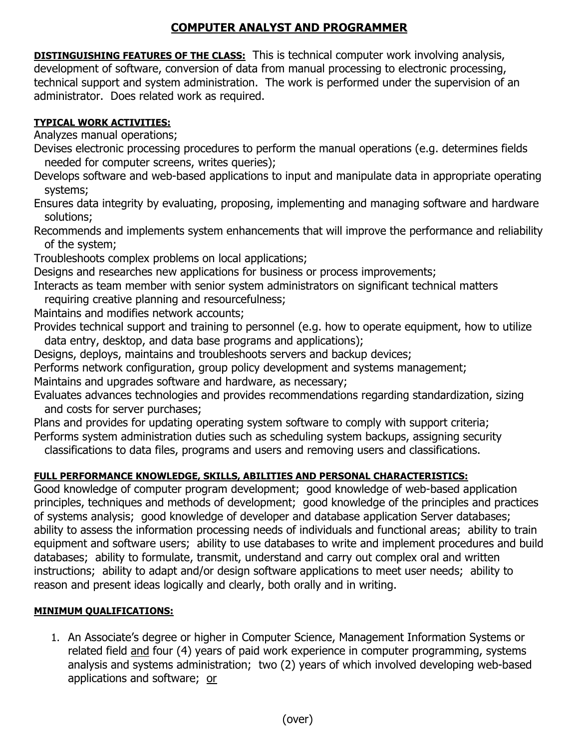## **COMPUTER ANALYST AND PROGRAMMER**

**DISTINGUISHING FEATURES OF THE CLASS:** This is technical computer work involving analysis, development of software, conversion of data from manual processing to electronic processing, technical support and system administration. The work is performed under the supervision of an administrator. Does related work as required.

## **TYPICAL WORK ACTIVITIES:**

Analyzes manual operations;

Devises electronic processing procedures to perform the manual operations (e.g. determines fields needed for computer screens, writes queries);

Develops software and web-based applications to input and manipulate data in appropriate operating systems;

Ensures data integrity by evaluating, proposing, implementing and managing software and hardware solutions;

Recommends and implements system enhancements that will improve the performance and reliability of the system;

Troubleshoots complex problems on local applications;

Designs and researches new applications for business or process improvements;

Interacts as team member with senior system administrators on significant technical matters

requiring creative planning and resourcefulness;

Maintains and modifies network accounts;

Provides technical support and training to personnel (e.g. how to operate equipment, how to utilize data entry, desktop, and data base programs and applications);

Designs, deploys, maintains and troubleshoots servers and backup devices;

Performs network configuration, group policy development and systems management;

Maintains and upgrades software and hardware, as necessary;

Evaluates advances technologies and provides recommendations regarding standardization, sizing and costs for server purchases;

Plans and provides for updating operating system software to comply with support criteria; Performs system administration duties such as scheduling system backups, assigning security

classifications to data files, programs and users and removing users and classifications.

## **FULL PERFORMANCE KNOWLEDGE, SKILLS, ABILITIES AND PERSONAL CHARACTERISTICS:**

Good knowledge of computer program development; good knowledge of web-based application principles, techniques and methods of development; good knowledge of the principles and practices of systems analysis; good knowledge of developer and database application Server databases; ability to assess the information processing needs of individuals and functional areas; ability to train equipment and software users; ability to use databases to write and implement procedures and build databases; ability to formulate, transmit, understand and carry out complex oral and written instructions; ability to adapt and/or design software applications to meet user needs; ability to reason and present ideas logically and clearly, both orally and in writing.

## **MINIMUM QUALIFICATIONS:**

1. An Associate's degree or higher in Computer Science, Management Information Systems or related field and four (4) years of paid work experience in computer programming, systems analysis and systems administration; two (2) years of which involved developing web-based applications and software; or